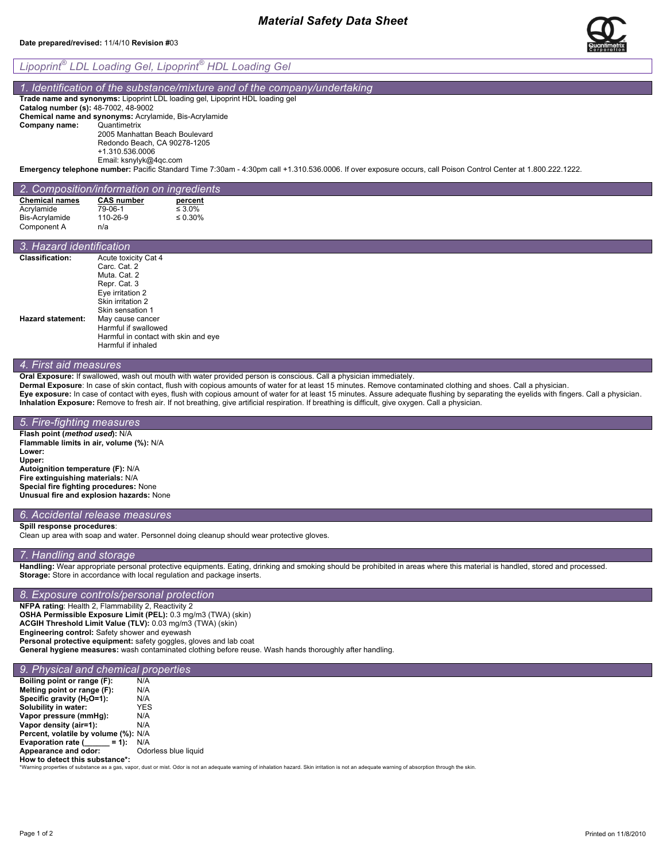# *Material Safety Data Sheet*

#### **Date prepared/revised:** 11/4/10 **Revision #**03



## *1dentification of the substance/mixture and of the company/undertaking*

**Trade name and synonyms:** Lipoprint LDL loading gel, Lipoprint HDL loading gel

**Catalog number (s):** 48-7002, 48-9002 **Chemical name and synonyms:** Acrylamide, Bis-Acrylamide **Company name:** 2005 Manhattan Beach Boulevard Redondo Beach, CA 90278-1205

+1.310.536.0006

Email: ksnylyk@4qc.com

**Emergency telephone number:** Pacific Standard Time 7:30am - 4:30pm call +1.310.536.0006. If over exposure occurs, call Poison Control Center at 1.800.222.1222.

# *2. Composition/information on ingredients*

| <b>Chemical names</b> | <b>CAS number</b> | percent       |
|-----------------------|-------------------|---------------|
| Acrylamide            | 79-06-1           | $\leq 3.0\%$  |
| Bis-Acrylamide        | 110-26-9          | $\leq 0.30\%$ |
| Component A           | n/a               |               |

|                          | 3. Hazard identification             |  |  |
|--------------------------|--------------------------------------|--|--|
| <b>Classification:</b>   | Acute toxicity Cat 4                 |  |  |
|                          | Carc. Cat. 2                         |  |  |
|                          | Muta. Cat. 2                         |  |  |
|                          | Repr. Cat. 3                         |  |  |
|                          | Eye irritation 2                     |  |  |
|                          | Skin irritation 2                    |  |  |
|                          | Skin sensation 1                     |  |  |
| <b>Hazard statement:</b> | May cause cancer                     |  |  |
|                          | Harmful if swallowed                 |  |  |
|                          | Harmful in contact with skin and eye |  |  |
|                          | Harmful if inhaled                   |  |  |

# *4. First aid measures*

**Oral Exposure:** If swallowed, wash out mouth with water provided person is conscious. Call a physician immediately.

**Dermal Exposure**: In case of skin contact, flush with copious amounts of water for at least 15 minutes. Remove contaminated clothing and shoes. Call a physician.

**Eye exposure:** In case of contact with eyes, flush with copious amount of water for at least 15 minutes. Assure adequate flushing by separating the eyelids with fingers. Call a physician. **Inhalation Exposure:** Remove to fresh air. If not breathing, give artificial respiration. If breathing is difficult, give oxygen. Call a physician.

#### *5. Fire-fighting measures*  **Flash point (***method used***):** N/A **Flammable limits in air, volume (%):** N/A **Lower: Upper: Autoignition temperature (F):** N/A **Fire extinguishing materials:** N/A **Special fire fighting procedures:** None **Unusual fire and explosion hazards:** None

## *6. Accidental release measures*

**Spill response procedures**:

Clean up area with soap and water. Personnel doing cleanup should wear protective gloves.

## *7. Handling and storage*

**Handling:** Wear appropriate personal protective equipments. Eating, drinking and smoking should be prohibited in areas where this material is handled, stored and processed. **Storage:** Store in accordance with local regulation and package inserts.

#### *8. Exposure controls/personal protection*

**NFPA rating**: Health 2, Flammability 2, Reactivity 2 **OSHA Permissible Exposure Limit (PEL):** 0.3 mg/m3 (TWA) (skin) **ACGIH Threshold Limit Value (TLV):** 0.03 mg/m3 (TWA) (skin) **Engineering control:** Safety shower and eyewash **Personal protective equipment:** safety goggles, gloves and lab coat **General hygiene measures:** wash contaminated clothing before reuse. Wash hands thoroughly after handling.

## *9. Physical and chemical properties*

**Boiling point or range (F):** N/A<br>**Melting point or range (F):** N/A **Melting point or range (F):** N/A<br>**Specific gravity (H<sub>2</sub>O=1):** N/A **Specific gravity (H<sub>2</sub>O=1):** N/A<br>**Solubility in water:** YES **Solubility in water: YES**<br>**Vapor pressure (mmHg):** N/A **Vapor pressure (mmHg):** N/A<br>**Vapor density (air=1):** N/A **Vapor density (air=1): Percent, volatile by volume (%):** N/A **Evaporation rate (\_\_\_\_\_ = 1):** N/A Appearance and odor: Odorless blue liquid

of the contract of the Substance \*:<br>How to detect this substance \*:<br>"Warning properties of substance as a gas, vapor, dust or mist. Odor is not an adequate warning of inhalation hazard. Skin irritation is not an adequate w